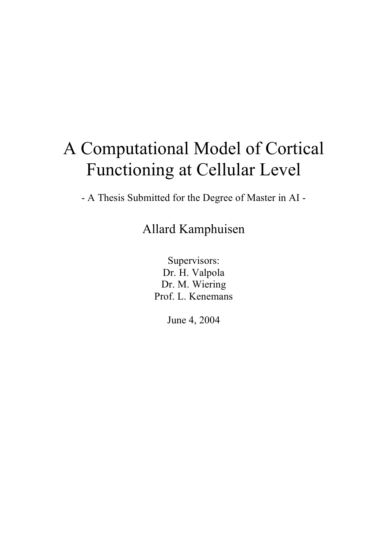## A Computational Model of Cortical Functioning at Cellular Level

- A Thesis Submitted for the Degree of Master in AI -

Allard Kamphuisen

Supervisors: Dr. H. Valpola Dr. M. Wiering Prof. L. Kenemans

June 4, 2004